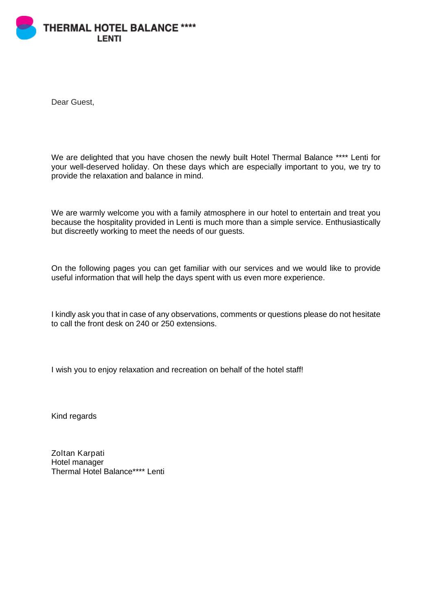

Dear Guest,

We are delighted that you have chosen the newly built Hotel Thermal Balance \*\*\*\* Lenti for your well-deserved holiday. On these days which are especially important to you, we try to provide the relaxation and balance in mind.

We are warmly welcome you with a family atmosphere in our hotel to entertain and treat you because the hospitality provided in Lenti is much more than a simple service. Enthusiastically but discreetly working to meet the needs of our guests.

On the following pages you can get familiar with our services and we would like to provide useful information that will help the days spent with us even more experience.

I kindly ask you that in case of any observations, comments or questions please do not hesitate to call the front desk on 240 or 250 extensions.

I wish you to enjoy relaxation and recreation on behalf of the hotel staff!

Kind regards

Zoltan Karpati Hotel manager Thermal Hotel Balance\*\*\*\* Lenti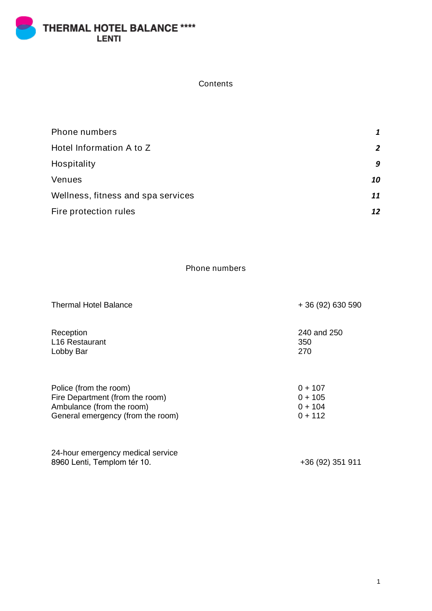THERMAL HOTEL BALANCE \*\*\*\*<br>LENTI

**Contents** 

| Phone numbers                      | 1  |
|------------------------------------|----|
| Hotel Information A to Z           | 2  |
| Hospitality                        | 9  |
| Venues                             | 10 |
| Wellness, fitness and spa services | 11 |
| Fire protection rules              | 12 |

Phone numbers

| <b>Thermal Hotel Balance</b>      | $+36(92)630590$ |
|-----------------------------------|-----------------|
| Reception                         | 240 and 250     |
| L <sub>16</sub> Restaurant        | 350             |
| Lobby Bar                         | 270             |
| Police (from the room)            | $0 + 107$       |
| Fire Department (from the room)   | $0 + 105$       |
| Ambulance (from the room)         | $0 + 104$       |
| General emergency (from the room) | $0 + 112$       |

| 24-hour emergency medical service |                  |
|-----------------------------------|------------------|
| 8960 Lenti, Templom tér 10.       | +36 (92) 351 911 |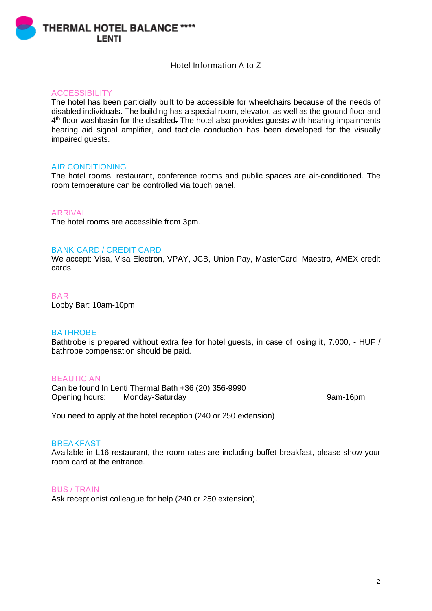**THERMAL HOTEL BALANCE \*\*\*\* I ENTI** 

# Hotel Information A to Z

## ACCESSIBILITY

The hotel has been particially built to be accessible for wheelchairs because of the needs of disabled individuals. The building has a special room, elevator, as well as the ground floor and 4<sup>th</sup> floor washbasin for the disabled. The hotel also provides guests with hearing impairments hearing aid signal amplifier, and tacticle conduction has been developed for the visually impaired guests.

## AIR CONDITIONING

The hotel rooms, restaurant, conference rooms and public spaces are air-conditioned. The room temperature can be controlled via touch panel.

# ARRIVAL

The hotel rooms are accessible from 3pm.

## BANK CARD / CREDIT CARD

We accept: Visa, Visa Electron, VPAY, JCB, Union Pay, MasterCard, Maestro, AMEX credit cards.

**BAR** Lobby Bar: 10am-10pm

## **BATHROBE**

Bathtrobe is prepared without extra fee for hotel quests, in case of losing it, 7,000, - HUF / bathrobe compensation should be paid.

## **BEAUTICIAN**

Can be found In Lenti Thermal Bath +36 (20) 356-9990 Opening hours: Monday-Saturday 9am-16pm

You need to apply at the hotel reception (240 or 250 extension)

# **BREAKFAST**

Available in L16 restaurant, the room rates are including buffet breakfast, please show your room card at the entrance.

## BUS / TRAIN

Ask receptionist colleague for help (240 or 250 extension).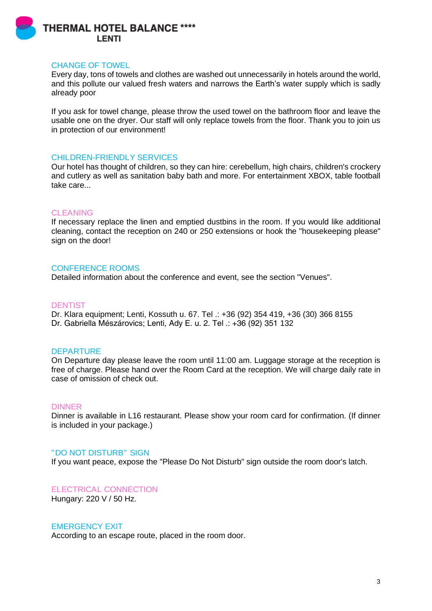

## CHANGE OF TOWEL

Every day, tons of towels and clothes are washed out unnecessarily in hotels around the world, and this pollute our valued fresh waters and narrows the Earth's water supply which is sadly already poor

If you ask for towel change, please throw the used towel on the bathroom floor and leave the usable one on the dryer. Our staff will only replace towels from the floor. Thank you to join us in protection of our environment!

# CHILDREN-FRIENDLY SERVICES

Our hotel has thought of children, so they can hire: cerebellum, high chairs, children's crockery and cutlery as well as sanitation baby bath and more. For entertainment XBOX, table football take care...

## CLEANING

If necessary replace the linen and emptied dustbins in the room. If you would like additional cleaning, contact the reception on 240 or 250 extensions or hook the "housekeeping please" sign on the door!

# CONFERENCE ROOMS

Detailed information about the conference and event, see the section "Venues".

## **DENTIST**

Dr. Klara equipment; Lenti, Kossuth u. 67. Tel .: +36 (92) 354 419, +36 (30) 366 8155 Dr. Gabriella Mészárovics; Lenti, Ady E. u. 2. Tel .: +36 (92) 351 132

## DEPARTURE

On Departure day please leave the room until 11:00 am. Luggage storage at the reception is free of charge. Please hand over the Room Card at the reception. We will charge daily rate in case of omission of check out.

## DINNER

Dinner is available in L16 restaurant. Please show your room card for confirmation. (If dinner is included in your package.)

## "DO NOT DISTURB" SIGN

If you want peace, expose the "Please Do Not Disturb" sign outside the room door's latch.

## ELECTRICAL CONNECTION

Hungary: 220 V / 50 Hz.

## EMERGENCY EXIT

According to an escape route, placed in the room door.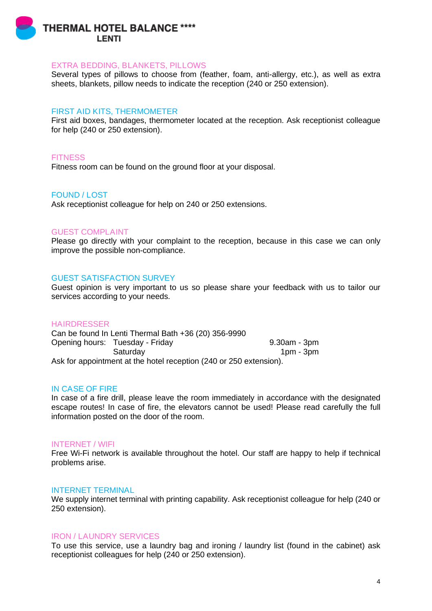

### EXTRA BEDDING, BLANKETS, PILLOWS

Several types of pillows to choose from (feather, foam, anti-allergy, etc.), as well as extra sheets, blankets, pillow needs to indicate the reception (240 or 250 extension).

### FIRST AID KITS, THERMOMETER

First aid boxes, bandages, thermometer located at the reception. Ask receptionist colleague for help (240 or 250 extension).

### **FITNESS**

Fitness room can be found on the ground floor at your disposal.

### FOUND / LOST

Ask receptionist colleague for help on 240 or 250 extensions.

#### GUEST COMPLAINT

Please go directly with your complaint to the reception, because in this case we can only improve the possible non-compliance.

#### GUEST SATISFACTION SURVEY

Guest opinion is very important to us so please share your feedback with us to tailor our services according to your needs.

#### HAIRDRESSER

Can be found In Lenti Thermal Bath +36 (20) 356-9990 Opening hours: Tuesday - Friday 9.30am - 3pm Saturday 1pm - 3pm Ask for appointment at the hotel reception (240 or 250 extension).

### IN CASE OF FIRE

In case of a fire drill, please leave the room immediately in accordance with the designated escape routes! In case of fire, the elevators cannot be used! Please read carefully the full information posted on the door of the room.

#### INTERNET / WIFI

Free Wi-Fi network is available throughout the hotel. Our staff are happy to help if technical problems arise.

### INTERNET TERMINAL

We supply internet terminal with printing capability. Ask receptionist colleague for help (240 or 250 extension).

### IRON / LAUNDRY SERVICES

To use this service, use a laundry bag and ironing / laundry list (found in the cabinet) ask receptionist colleagues for help (240 or 250 extension).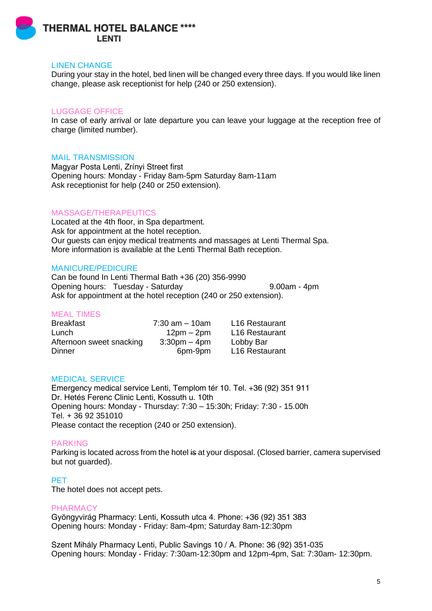

## LINEN CHANGE

During your stay in the hotel, bed linen will be changed every three days. If you would like linen change, please ask receptionist for help (240 or 250 extension).

# LUGGAGE OFFICE

In case of early arrival or late departure you can leave your luggage at the reception free of charge (limited number).

### MAIL TRANSMISSION

Magyar Posta Lenti, Zrínyi Street first Opening hours: Monday - Friday 8am-5pm Saturday 8am-11am Ask receptionist for help (240 or 250 extension).

# MASSAGE/THERAPEUTICS

Located at the 4th floor, in Spa department. Ask for appointment at the hotel reception. Our guests can enjoy medical treatments and massages at Lenti Thermal Spa. More information is available at the Lenti Thermal Bath reception.

## MANICURE/PEDICURE

Can be found In Lenti Thermal Bath +36 (20) 356-9990 Opening hours: Tuesday - Saturday 9.00am - 4pm Ask for appointment at the hotel reception (240 or 250 extension).

## MEAL TIMES

| <b>Breakfast</b>         | $7:30$ am $-10$ am | L <sub>16</sub> Restaurant |
|--------------------------|--------------------|----------------------------|
| Lunch                    | $12pm - 2pm$       | L <sub>16</sub> Restaurant |
| Afternoon sweet snacking | $3:30$ pm – 4pm    | Lobby Bar                  |
| Dinner                   | 6pm-9pm            | L <sub>16</sub> Restaurant |

## MEDICAL SERVICE

Emergency medical service Lenti, Templom tér 10. Tel. +36 (92) 351 911 Dr. Hetés Ferenc Clinic Lenti, Kossuth u. 10th Opening hours: Monday - Thursday: 7:30 – 15:30h; Friday: 7:30 - 15.00h Tel. + 36 92 351010 Please contact the reception (240 or 250 extension).

#### PARKING

Parking is located across from the hotel is at your disposal. (Closed barrier, camera supervised but not guarded).

# PET

The hotel does not accept pets.

#### PHARMACY

Gyöngyvirág Pharmacy: Lenti, Kossuth utca 4. Phone: +36 (92) 351 383 Opening hours: Monday - Friday: 8am-4pm; Saturday 8am-12:30pm

Szent Mihály Pharmacy Lenti, Public Savings 10 / A. Phone: 36 (92) 351-035 Opening hours: Monday - Friday: 7:30am-12:30pm and 12pm-4pm, Sat: 7:30am- 12:30pm.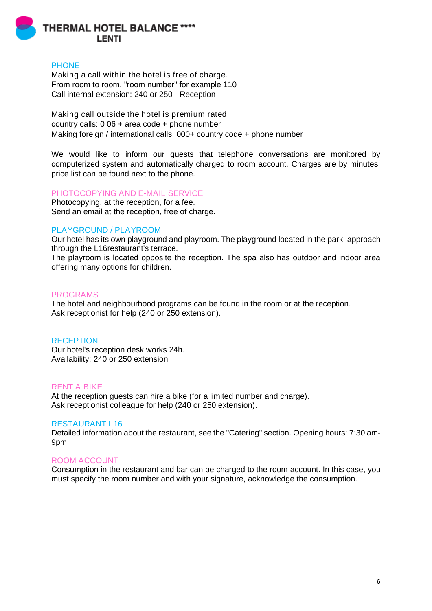

## **PHONE**

Making a call within the hotel is free of charge. From room to room, "room number" for example 110 Call internal extension: 240 or 250 - Reception

Making call outside the hotel is premium rated! country calls: 0 06 + area code + phone number Making foreign / international calls: 000+ country code + phone number

We would like to inform our guests that telephone conversations are monitored by computerized system and automatically charged to room account. Charges are by minutes; price list can be found next to the phone.

### PHOTOCOPYING AND E-MAIL SERVICE

Photocopying, at the reception, for a fee. Send an email at the reception, free of charge.

### PLAYGROUND / PLAYROOM

Our hotel has its own playground and playroom. The playground located in the park, approach through the L16restaurant's terrace.

The playroom is located opposite the reception. The spa also has outdoor and indoor area offering many options for children.

#### PROGRAMS

The hotel and neighbourhood programs can be found in the room or at the reception. Ask receptionist for help (240 or 250 extension).

#### **RECEPTION**

Our hotel's reception desk works 24h. Availability: 240 or 250 extension

### RENT A BIKE

At the reception guests can hire a bike (for a limited number and charge). Ask receptionist colleague for help (240 or 250 extension).

#### RESTAURANT L16

Detailed information about the restaurant, see the "Catering" section. Opening hours: 7:30 am-9pm.

#### ROOM ACCOUNT

Consumption in the restaurant and bar can be charged to the room account. In this case, you must specify the room number and with your signature, acknowledge the consumption.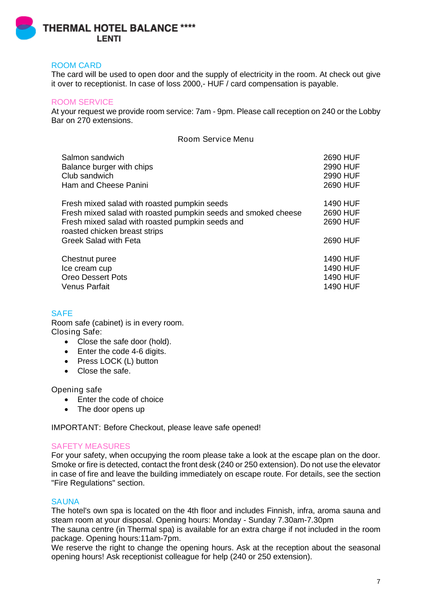

# ROOM CARD

The card will be used to open door and the supply of electricity in the room. At check out [give](http://szotar.sztaki.hu/search?searchWord=give%20sg%20over%20to%20sy&fromlang=eng&tolang=hun&outLanguage=hun)  [it over to receptionist.](http://szotar.sztaki.hu/search?searchWord=give%20sg%20over%20to%20sy&fromlang=eng&tolang=hun&outLanguage=hun) In case of loss 2000,- HUF / card compensation is payable.

# ROOM SERVICE

At your request we provide room service: 7am - 9pm. Please call reception on 240 or the Lobby Bar on 270 extensions.

Room Service Menu

| Salmon sandwich                                                                   | 2690 HUF        |
|-----------------------------------------------------------------------------------|-----------------|
| Balance burger with chips                                                         | 2990 HUF        |
| Club sandwich                                                                     | 2990 HUF        |
| Ham and Cheese Panini                                                             | 2690 HUF        |
| Fresh mixed salad with roasted pumpkin seeds                                      | 1490 HUF        |
| Fresh mixed salad with roasted pumpkin seeds and smoked cheese                    | 2690 HUF        |
| Fresh mixed salad with roasted pumpkin seeds and<br>roasted chicken breast strips | 2690 HUF        |
| <b>Greek Salad with Feta</b>                                                      | 2690 HUF        |
| Chestnut puree                                                                    | <b>1490 HUF</b> |
| Ice cream cup                                                                     | 1490 HUF        |
| <b>Oreo Dessert Pots</b>                                                          | <b>1490 HUF</b> |
| <b>Venus Parfait</b>                                                              | 1490 HUF        |

# **SAFE**

Room safe (cabinet) is in every room. Closing Safe:

- Close the safe door (hold).
- Enter the code 4-6 digits.
- Press LOCK (L) button
- Close the safe.

# Opening safe

- Enter the code of choice
- The door opens up

IMPORTANT: Before Checkout, please leave safe opened!

## SAFETY MEASURES

For your safety, when occupying the room please take a look at the escape plan on the door. Smoke or fire is detected, contact the front desk (240 or 250 extension). Do not use the elevator in case of fire and leave the building immediately on escape route. For details, see the section "Fire Regulations" section.

## **SAUNA**

The hotel's own spa is located on the 4th floor and includes Finnish, infra, aroma sauna and steam room at your disposal. Opening hours: Monday - Sunday 7.30am-7.30pm

The sauna centre (in Thermal spa) is available for an extra charge if not included in the room package. Opening hours:11am-7pm.

We reserve the right to change the opening hours. Ask at the reception about the seasonal opening hours! Ask receptionist colleague for help (240 or 250 extension).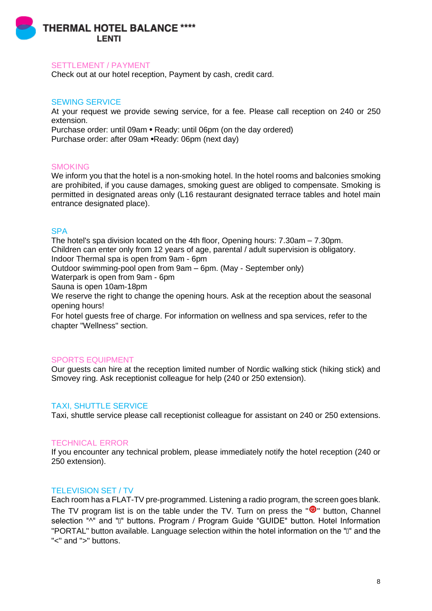

### SETTLEMENT / PAYMENT

Check out at our hotel reception, Payment by cash, credit card.

### SEWING SERVICE

At your request we provide sewing service, for a fee. Please call reception on 240 or 250 extension. Purchase order: until 09am • Ready: until 06pm (on the day ordered) Purchase order: after 09am •Ready: 06pm (next day)

### **SMOKING**

We inform you that the hotel is a non-smoking hotel. In the hotel rooms and balconies smoking are prohibited, if you cause damages, smoking guest are obliged to compensate. Smoking is permitted in designated areas only (L16 restaurant designated terrace tables and hotel main entrance designated place).

## **SPA**

The hotel's spa division located on the 4th floor, Opening hours: 7.30am – 7.30pm. Children can enter only from 12 years of age, parental / adult supervision is obligatory. Indoor Thermal spa is open from 9am - 6pm

Outdoor swimming-pool open from 9am – 6pm. (May - September only)

Waterpark is open from 9am - 6pm

Sauna is open 10am-18pm

We reserve the right to change the opening hours. Ask at the reception about the seasonal opening hours!

For hotel guests free of charge. For information on wellness and spa services, refer to the chapter "Wellness" section.

## SPORTS EQUIPMENT

Our guests can hire at the reception limited number of Nordic walking stick (hiking stick) and Smovey ring. Ask receptionist colleague for help (240 or 250 extension).

## TAXI, SHUTTLE SERVICE

Taxi, shuttle service please call receptionist colleague for assistant on 240 or 250 extensions.

## TECHNICAL ERROR

If you encounter any technical problem, please immediately notify the hotel reception (240 or 250 extension).

## TELEVISION SET / TV

Each room has a FLAT-TV pre-programmed. Listening a radio program, the screen goes blank. The TV program list is on the table under the TV. Turn on press the  $\overline{10}$  button. Channel selection "^" and "ū" buttons. Program / Program Guide "GUIDE" button. Hotel Information "PORTAL" button available. Language selection within the hotel information on the "ū" and the "<" and ">" buttons.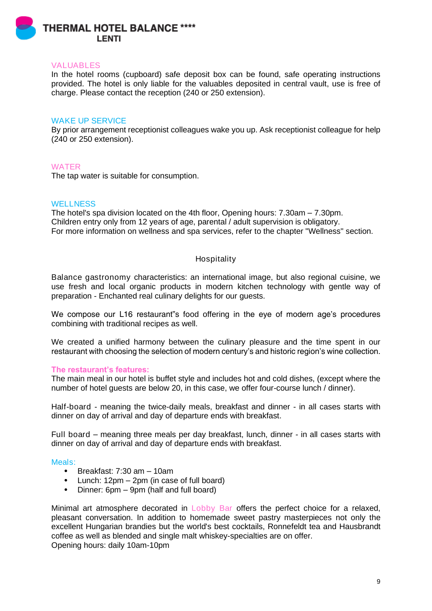

## VALUABLES

In the hotel rooms (cupboard) safe deposit box can be found, safe operating instructions provided. The hotel is only liable for the valuables deposited in central vault, use is free of charge. Please contact the reception (240 or 250 extension).

### WAKE UP SERVICE

By prior arrangement receptionist colleagues wake you up. Ask receptionist colleague for help (240 or 250 extension).

### WATER

The tap water is suitable for consumption.

## **WELLNESS**

The hotel's spa division located on the 4th floor, Opening hours: 7.30am – 7.30pm. Children entry only from 12 years of age, parental / adult supervision is obligatory. For more information on wellness and spa services, refer to the chapter "Wellness" section.

## Hospitality

Balance gastronomy characteristics: an international image, but also regional cuisine, we use fresh and local organic products in modern kitchen technology with gentle way of preparation - Enchanted real culinary delights for our guests.

We compose our L16 restaurant"s food offering in the eye of modern age's procedures combining with traditional recipes as well.

We created a unified harmony between the culinary pleasure and the time spent in our restaurant with choosing the selection of modern century's and historic region's wine collection.

### The restaurant's features:

The main meal in our hotel is buffet style and includes hot and cold dishes, (except where the number of hotel guests are below 20, in this case, we offer four-course lunch / dinner).

Half-board - meaning the twice-daily meals, breakfast and dinner - in all cases starts with dinner on day of arrival and day of departure ends with breakfast.

Full board – meaning three meals per day breakfast, lunch, dinner - in all cases starts with dinner on day of arrival and day of departure ends with breakfast.

#### Meals:

- Breakfast: 7:30 am 10am
- Lunch: 12pm 2pm (in case of full board)
- Dinner: 6pm 9pm (half and full board)

Minimal art atmosphere decorated in Lobby Bar offers the perfect choice for a relaxed, pleasant conversation. In addition to homemade sweet pastry masterpieces not only the excellent Hungarian brandies but the world's best cocktails, Ronnefeldt tea and Hausbrandt coffee as well as blended and single malt whiskey-specialties are on offer. Opening hours: daily 10am-10pm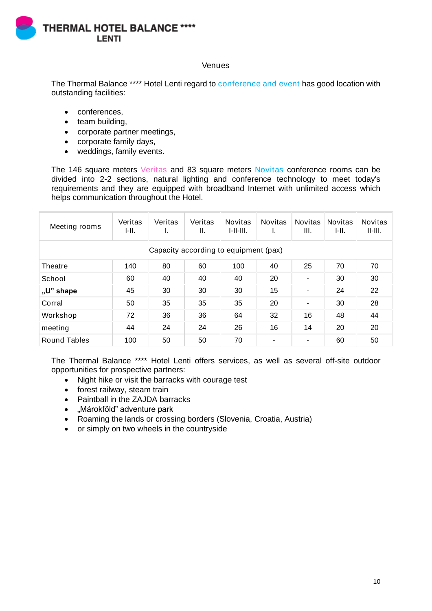

# Venues

The Thermal Balance \*\*\*\* Hotel Lenti regard to conference and event has good location with outstanding facilities:

- conferences,
- team building,
- corporate partner meetings,
- corporate family days,
- weddings, family events.

The 146 square meters Veritas and 83 square meters Novitas conference rooms can be divided into 2-2 sections, natural lighting and conference technology to meet today's requirements and they are equipped with broadband Internet with unlimited access which helps communication throughout the Hotel.

| Meeting rooms                         | Veritas<br>I-II. | Veritas | Veritas<br>Ш. | <b>Novitas</b><br>1-11-111. | <b>Novitas</b><br>ı. | <b>Novitas</b><br>III.   | <b>Novitas</b><br>I-II. | <b>Novitas</b><br>$II$ - $III$ . |
|---------------------------------------|------------------|---------|---------------|-----------------------------|----------------------|--------------------------|-------------------------|----------------------------------|
| Capacity according to equipment (pax) |                  |         |               |                             |                      |                          |                         |                                  |
| Theatre                               | 140              | 80      | 60            | 100                         | 40                   | 25                       | 70                      | 70                               |
| School                                | 60               | 40      | 40            | 40                          | 20                   | $\blacksquare$           | 30                      | 30                               |
| "U" shape                             | 45               | 30      | 30            | 30                          | 15                   | $\overline{\phantom{a}}$ | 24                      | 22                               |
| Corral                                | 50               | 35      | 35            | 35                          | 20                   | $\blacksquare$           | 30                      | 28                               |
| Workshop                              | 72               | 36      | 36            | 64                          | 32                   | 16                       | 48                      | 44                               |
| meeting                               | 44               | 24      | 24            | 26                          | 16                   | 14                       | 20                      | 20                               |
| Round Tables                          | 100              | 50      | 50            | 70                          | ٠                    | ۰                        | 60                      | 50                               |

The Thermal Balance \*\*\*\* Hotel Lenti offers services, as well as several off-site outdoor opportunities for prospective partners:

- Night hike or visit the barracks with courage test
- forest railway, steam train
- Paintball in the ZAJDA barracks
- "Márokföld" adventure park
- Roaming the lands or crossing borders (Slovenia, Croatia, Austria)
- or simply on two wheels in the countryside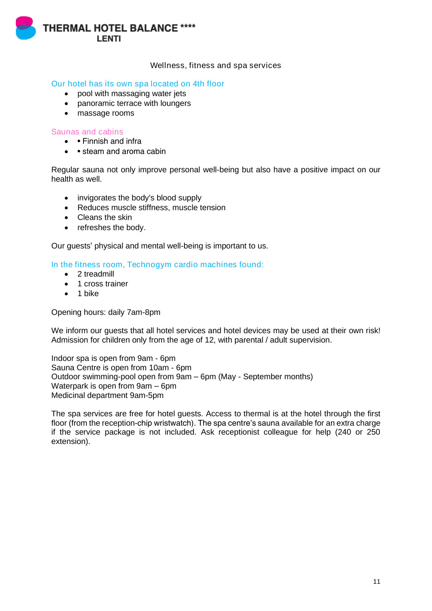

Wellness, fitness and spa services

# Our hotel has its own spa located on 4th floor

- pool with massaging water jets
- panoramic terrace with loungers
- massage rooms

## Saunas and cabins

- • Finnish and infra
- • steam and aroma cabin

Regular sauna not only improve personal well-being but also have a positive impact on our health as well.

- invigorates the body's blood supply
- Reduces muscle stiffness, muscle tension
- Cleans the skin
- refreshes the body.

Our guests' physical and mental well-being is important to us.

# In the fitness room, Technogym cardio machines found:

- 2 treadmill
- 1 cross trainer
- 1 bike

Opening hours: daily 7am-8pm

We inform our quests that all hotel services and hotel devices may be used at their own risk! Admission for children only from the age of 12, with parental / adult supervision.

Indoor spa is open from 9am - 6pm Sauna Centre is open from 10am - 6pm Outdoor swimming-pool open from 9am – 6pm (May - September months) Waterpark is open from 9am – 6pm Medicinal department 9am-5pm

The spa services are free for hotel guests. Access to thermal is at the hotel through the first floor (from the reception-chip wristwatch). The spa centre's sauna available for an extra charge if the service package is not included. Ask receptionist colleague for help (240 or 250 extension).